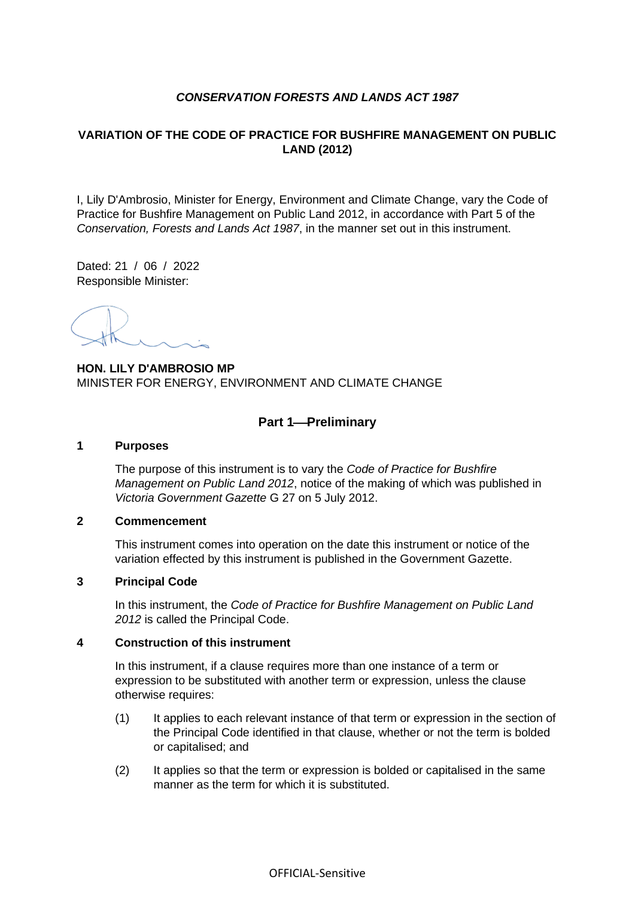# *CONSERVATION FORESTS AND LANDS ACT 1987*

# **VARIATION OF THE CODE OF PRACTICE FOR BUSHFIRE MANAGEMENT ON PUBLIC LAND (2012)**

I, Lily D'Ambrosio, Minister for Energy, Environment and Climate Change, vary the Code of Practice for Bushfire Management on Public Land 2012, in accordance with Part 5 of the *Conservation, Forests and Lands Act 1987*, in the manner set out in this instrument.

Dated: 21 / 06 / 2022 Responsible Minister:

**HON. LILY D'AMBROSIO MP** MINISTER FOR ENERGY, ENVIRONMENT AND CLIMATE CHANGE

# **Part 1**⎯**Preliminary**

#### **1 Purposes**

The purpose of this instrument is to vary the *Code of Practice for Bushfire Management on Public Land 2012*, notice of the making of which was published in *Victoria Government Gazette* G 27 on 5 July 2012.

#### **2 Commencement**

This instrument comes into operation on the date this instrument or notice of the variation effected by this instrument is published in the Government Gazette.

#### **3 Principal Code**

In this instrument, the *Code of Practice for Bushfire Management on Public Land 2012* is called the Principal Code.

#### **4 Construction of this instrument**

In this instrument, if a clause requires more than one instance of a term or expression to be substituted with another term or expression, unless the clause otherwise requires:

- (1) It applies to each relevant instance of that term or expression in the section of the Principal Code identified in that clause, whether or not the term is bolded or capitalised; and
- (2) It applies so that the term or expression is bolded or capitalised in the same manner as the term for which it is substituted.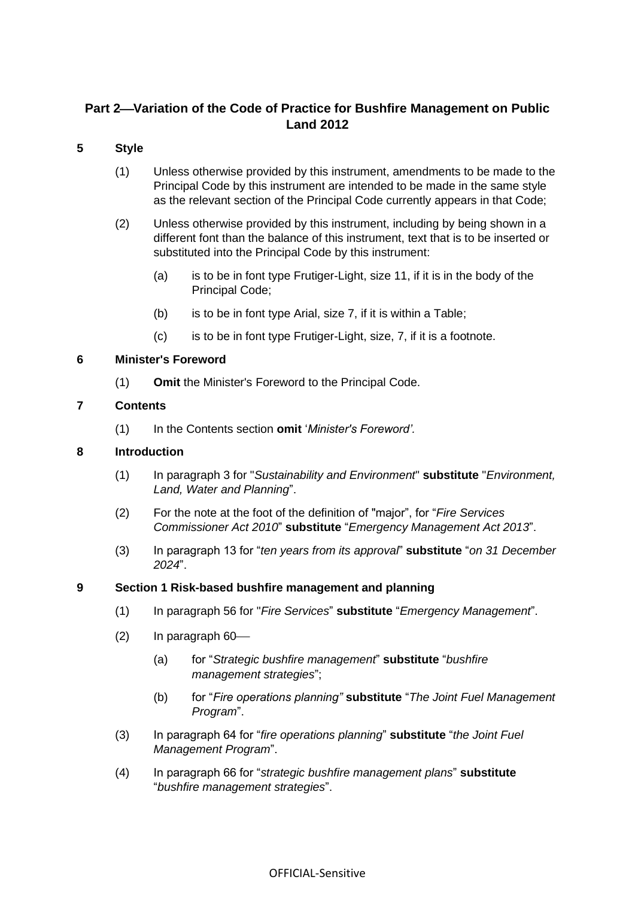# Part 2-Variation of the Code of Practice for Bushfire Management on Public **Land 2012**

# **5 Style**

- (1) Unless otherwise provided by this instrument, amendments to be made to the Principal Code by this instrument are intended to be made in the same style as the relevant section of the Principal Code currently appears in that Code;
- (2) Unless otherwise provided by this instrument, including by being shown in a different font than the balance of this instrument, text that is to be inserted or substituted into the Principal Code by this instrument:
	- (a) is to be in font type Frutiger-Light, size 11, if it is in the body of the Principal Code;
	- (b) is to be in font type Arial, size 7, if it is within a Table;
	- $(c)$  is to be in font type Frutiger-Light, size,  $7$ , if it is a footnote.

#### **6 Minister's Foreword**

(1) **Omit** the Minister's Foreword to the Principal Code.

#### **7 Contents**

(1) In the Contents section **omit** '*Minister's Foreword'.*

### **8 Introduction**

- (1) In paragraph 3 for "*Sustainability and Environment*" **substitute** "*Environment, Land, Water and Planning*".
- (2) For the note at the foot of the definition of "major", for "*Fire Services Commissioner Act 2010*" **substitute** "*Emergency Management Act 2013*".
- (3) In paragraph 13 for "*ten years from its approval*" **substitute** "*on 31 December 2024*".

#### **9 Section 1 Risk-based bushfire management and planning**

- (1) In paragraph 56 for "*Fire Services*" **substitute** "*Emergency Management*".
- $(2)$  In paragraph  $60$ 
	- (a) for "*Strategic bushfire management*" **substitute** "*bushfire management strategies*";
	- (b) for "*Fire operations planning"* **substitute** "*The Joint Fuel Management Program*".
- (3) In paragraph 64 for "*fire operations planning*" **substitute** "*the Joint Fuel Management Program*".
- (4) In paragraph 66 for "*strategic bushfire management plans*" **substitute** "*bushfire management strategies*".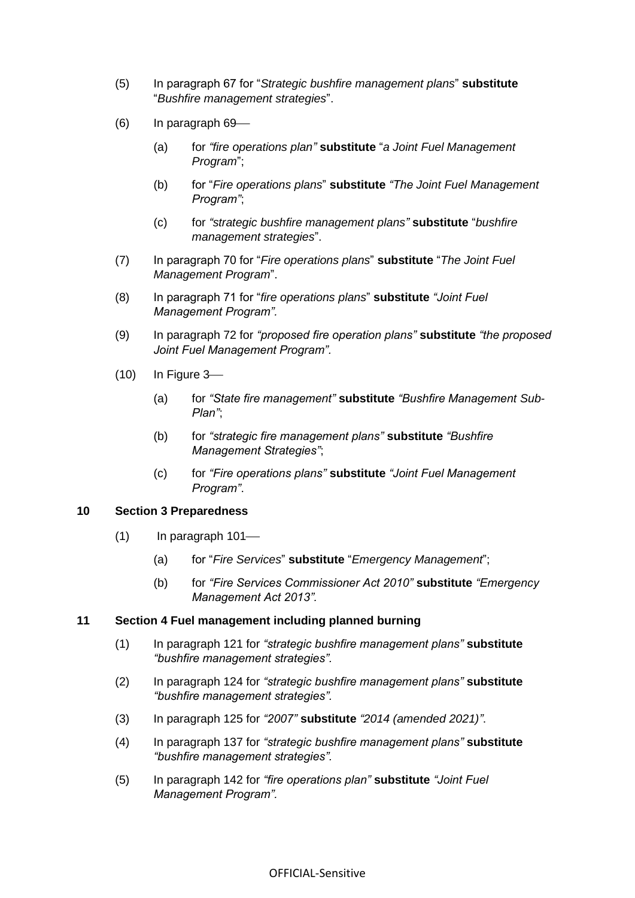- (5) In paragraph 67 for "*Strategic bushfire management plans*" **substitute** "*Bushfire management strategies*".
- $(6)$  In paragraph  $69$ 
	- (a) for *"fire operations plan"* **substitute** "*a Joint Fuel Management Program*";
	- (b) for "*Fire operations plans*" **substitute** *"The Joint Fuel Management Program"*;
	- (c) for *"strategic bushfire management plans"* **substitute** "*bushfire management strategies*".
- (7) In paragraph 70 for "*Fire operations plans*" **substitute** "*The Joint Fuel Management Program*".
- (8) In paragraph 71 for "*fire operations plans*" **substitute** *"Joint Fuel Management Program".*
- (9) In paragraph 72 for *"proposed fire operation plans"* **substitute** *"the proposed Joint Fuel Management Program".*
- $(10)$  In Figure 3-
	- (a) for *"State fire management"* **substitute** *"Bushfire Management Sub-Plan"*;
	- (b) for *"strategic fire management plans"* **substitute** *"Bushfire Management Strategies"*;
	- (c) for *"Fire operations plans"* **substitute** *"Joint Fuel Management Program"*.

#### **10 Section 3 Preparedness**

- $(1)$  In paragraph 101—
	- (a) for "*Fire Services*" **substitute** "*Emergency Management*";
	- (b) for *"Fire Services Commissioner Act 2010"* **substitute** *"Emergency Management Act 2013".*

#### **11 Section 4 Fuel management including planned burning**

- (1) In paragraph 121 for *"strategic bushfire management plans"* **substitute** *"bushfire management strategies".*
- (2) In paragraph 124 for *"strategic bushfire management plans"* **substitute** *"bushfire management strategies".*
- (3) In paragraph 125 for *"2007"* **substitute** *"2014 (amended 2021)"*.
- (4) In paragraph 137 for *"strategic bushfire management plans"* **substitute** *"bushfire management strategies".*
- (5) In paragraph 142 for *"fire operations plan"* **substitute** *"Joint Fuel Management Program".*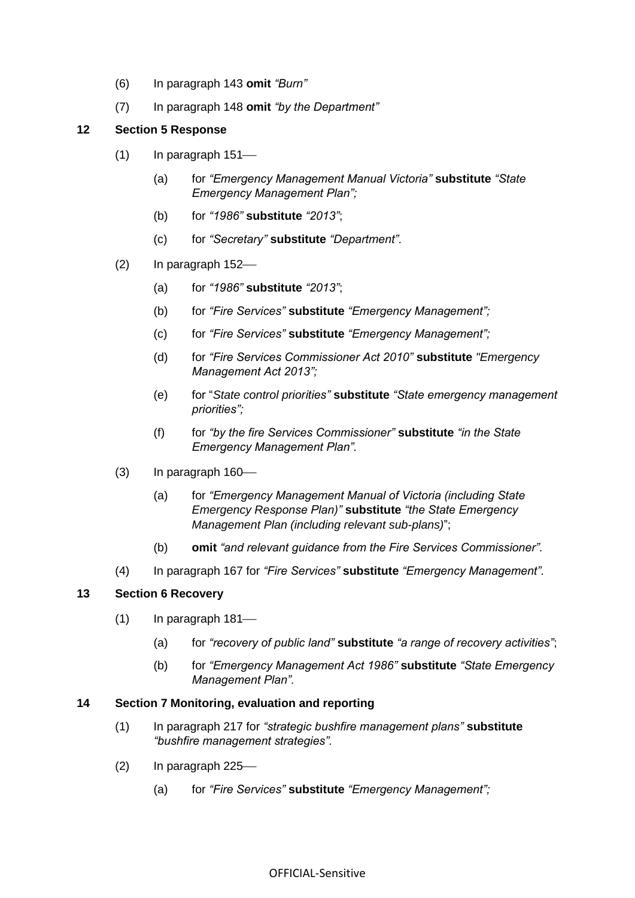- (6) In paragraph 143 **omit** *"Burn"*
- (7) In paragraph 148 **omit** *"by the Department"*

### **12 Section 5 Response**

- $(1)$  In paragraph 151—
	- (a) for *"Emergency Management Manual Victoria"* **substitute** *"State Emergency Management Plan";*
	- (b) for *"1986"* **substitute** *"2013"*;
	- (c) for *"Secretary"* **substitute** *"Department".*
- $(2)$  In paragraph 152—
	- (a) for *"1986"* **substitute** *"2013"*;
	- (b) for *"Fire Services"* **substitute** *"Emergency Management";*
	- (c) for *"Fire Services"* **substitute** *"Emergency Management";*
	- (d) for *"Fire Services Commissioner Act 2010"* **substitute** *"Emergency Management Act 2013";*
	- (e) for "*State control priorities"* **substitute** *"State emergency management priorities";*
	- (f) for *"by the fire Services Commissioner"* **substitute** *"in the State Emergency Management Plan".*
- $(3)$  In paragraph 160 $-$ 
	- (a) for *"Emergency Management Manual of Victoria (including State Emergency Response Plan)"* **substitute** *"the State Emergency Management Plan (including relevant sub-plans)*";
	- (b) **omit** *"and relevant guidance from the Fire Services Commissioner".*
- (4) In paragraph 167 for *"Fire Services"* **substitute** *"Emergency Management".*

#### **13 Section 6 Recovery**

- $(1)$  In paragraph 181—
	- (a) for *"recovery of public land"* **substitute** *"a range of recovery activities"*;
	- (b) for *"Emergency Management Act 1986"* **substitute** *"State Emergency Management Plan".*

#### **14 Section 7 Monitoring, evaluation and reporting**

- (1) In paragraph 217 for *"strategic bushfire management plans"* **substitute** *"bushfire management strategies".*
- $(2)$  In paragraph 225—
	- (a) for *"Fire Services"* **substitute** *"Emergency Management";*